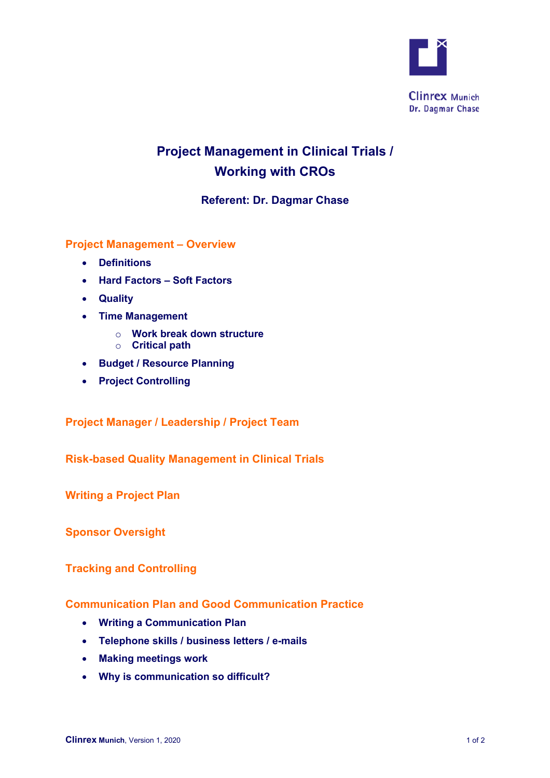

**Clinrex Munich** Dr. Dagmar Chase

# **Project Management in Clinical Trials / Working with CROs**

## **Referent: Dr. Dagmar Chase**

#### **Project Management – Overview**

- **Definitions**
- **Hard Factors Soft Factors**
- **Quality**
- **Time Management** 
	- o **Work break down structure**
	- o **Critical path**
- **Budget / Resource Planning**
- **Project Controlling**

### **Project Manager / Leadership / Project Team**

**Risk-based Quality Management in Clinical Trials** 

**Writing a Project Plan** 

**Sponsor Oversight** 

**Tracking and Controlling** 

**Communication Plan and Good Communication Practice** 

- **Writing a Communication Plan**
- **Telephone skills / business letters / e-mails**
- **Making meetings work**
- **Why is communication so difficult?**